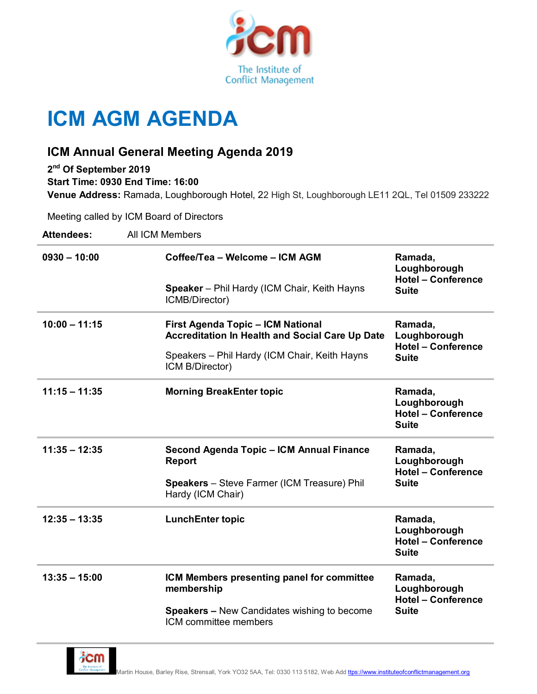

## **ICM AGM AGENDA**

## **ICM Annual General Meeting Agenda 2019**

**2 nd Of September 2019 Start Time: 0930 End Time: 16:00 Venue Address:** Ramada, Loughborough Hotel, 22 High St, Loughborough LE11 2QL, Tel 01509 233222

Meeting called by ICM Board of Directors

| <b>Attendees:</b> | All ICM Members                                                                             |                                                                      |
|-------------------|---------------------------------------------------------------------------------------------|----------------------------------------------------------------------|
| $0930 - 10:00$    | Coffee/Tea - Welcome - ICM AGM                                                              | Ramada,<br>Loughborough<br><b>Hotel - Conference</b><br><b>Suite</b> |
|                   | <b>Speaker</b> – Phil Hardy (ICM Chair, Keith Hayns<br>ICMB/Director)                       |                                                                      |
| $10:00 - 11:15$   | <b>First Agenda Topic - ICM National</b><br>Accreditation In Health and Social Care Up Date | Ramada,<br>Loughborough<br><b>Hotel - Conference</b><br><b>Suite</b> |
|                   | Speakers – Phil Hardy (ICM Chair, Keith Hayns<br>ICM B/Director)                            |                                                                      |
| $11:15 - 11:35$   | <b>Morning BreakEnter topic</b>                                                             | Ramada,<br>Loughborough<br><b>Hotel - Conference</b><br><b>Suite</b> |
| $11:35 - 12:35$   | Second Agenda Topic - ICM Annual Finance<br>Report                                          | Ramada,<br>Loughborough<br><b>Hotel - Conference</b><br><b>Suite</b> |
|                   | <b>Speakers</b> - Steve Farmer (ICM Treasure) Phil<br>Hardy (ICM Chair)                     |                                                                      |
| $12:35 - 13:35$   | <b>LunchEnter topic</b>                                                                     | Ramada,<br>Loughborough<br><b>Hotel - Conference</b><br><b>Suite</b> |
| $13:35 - 15:00$   | ICM Members presenting panel for committee<br>membership                                    | Ramada,<br>Loughborough<br><b>Hotel - Conference</b><br><b>Suite</b> |
|                   | <b>Speakers - New Candidates wishing to become</b><br>ICM committee members                 |                                                                      |